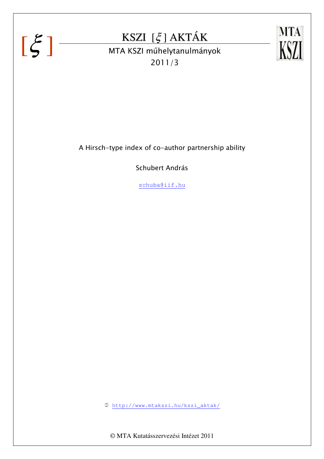





A Hirsch-type index of co-author partnership ability

Schubert András

schuba@iif.hu

http://www.mtakszi.hu/kszi\_aktak/

© MTA Kutatásszervezési Intézet 2011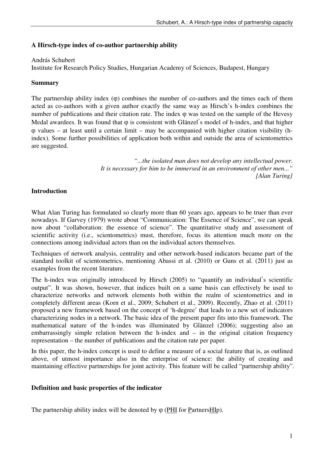### **A Hirsch-type index of co-author partnership ability**

#### András Schubert

Institute for Research Policy Studies, Hungarian Academy of Sciences, Budapest, Hungary

### **Summary**

The partnership ability index (φ) combines the number of co-authors and the times each of them acted as co-authors with a given author exactly the same way as Hirsch's h-index combines the number of publications and their citation rate. The index φ was tested on the sample of the Hevesy Medal awardees. It was found that  $\varphi$  is consistent with Glänzel's model of h-index, and that higher φ values – at least until a certain limit – may be accompanied with higher citation visibility (hindex). Some further possibilities of application both within and outside the area of scientometrics are suggested.

> *"...the isolated man does not develop any intellectual power. It is necessary for him to be immersed in an environment of other men..." [Alan Turing]*

# **Introduction**

What Alan Turing has formulated so clearly more than 60 years ago, appears to be truer than ever nowadays. If Garvey (1979) wrote about "Communication: The Essence of Science", we can speak now about "collaboration: the essence of science". The quantitative study and assessment of scientific activity (i.e., scientometrics) must, therefore, focus its attention much more on the connections among individual actors than on the individual actors themselves.

Techniques of network analysis, centrality and other network-based indicators became part of the standard toolkit of scientometrics, mentioning Abassi et al. (2010) or Guns et al. (2011) just as examples from the recent literature.

The h-index was originally introduced by Hirsch (2005) to "quantify an individual's scientific output". It was shown, however, that indices built on a same basis can effectively be used to characterize networks and network elements both within the realm of scientometrics and in completely different areas (Korn et al., 2009; Schubert et al., 2009). Recently, Zhao et al. (2011) proposed a new framework based on the concept of 'h-degree' that leads to a new set of indicators characterizing nodes in a network. The basic idea of the present paper fits into this framework. The mathematical nature of the h-index was illuminated by Glänzel (2006); suggesting also an embarrassingly simple relation between the h-index and – in the original citation frequency representation – the number of publications and the citation rate per paper.

In this paper, the h-index concept is used to define a measure of a social feature that is, as outlined above, of utmost importance also in the enterprise of science: the ability of creating and maintaining effective partnerships for joint activity. This feature will be called "partnership ability".

#### **Definition and basic properties of the indicator**

The partnership ability index will be denoted by φ (PHI for PartnersHIp).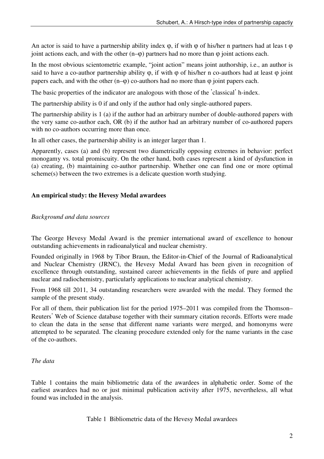An actor is said to have a partnership ability index  $\varphi$ , if with  $\varphi$  of his/her n partners had at leas t  $\varphi$ joint actions each, and with the other  $(n-<sub>0</sub>)$  partners had no more than  $\varphi$  joint actions each.

In the most obvious scientometric example, "joint action" means joint authorship, i.e., an author is said to have a co-author partnership ability  $\varphi$ , if with  $\varphi$  of his/her n co-authors had at least  $\varphi$  joint papers each, and with the other  $(n-<sub>0</sub>)$  co-authors had no more than  $\varphi$  joint papers each.

The basic properties of the indicator are analogous with those of the 'classical' h-index.

The partnership ability is 0 if and only if the author had only single-authored papers.

The partnership ability is 1 (a) if the author had an arbitrary number of double-authored papers with the very same co-author each, OR (b) if the author had an arbitrary number of co-authored papers with no co-authors occurring more than once.

In all other cases, the partnership ability is an integer larger than 1.

Apparently, cases (a) and (b) represent two diametrically opposing extremes in behavior: perfect monogamy vs. total promiscuity. On the other hand, both cases represent a kind of dysfunction in (a) creating, (b) maintaining co-author partnership. Whether one can find one or more optimal scheme(s) between the two extremes is a delicate question worth studying.

### **An empirical study: the Hevesy Medal awardees**

### *Background and data sources*

The George Hevesy Medal Award is the premier international award of excellence to honour outstanding achievements in radioanalytical and nuclear chemistry.

Founded originally in 1968 by Tibor Braun, the Editor-in-Chief of the Journal of Radioanalytical and Nuclear Chemistry (JRNC), the Hevesy Medal Award has been given in recognition of excellence through outstanding, sustained career achievements in the fields of pure and applied nuclear and radiochemistry, particularly applications to nuclear analytical chemistry.

From 1968 till 2011, 34 outstanding researchers were awarded with the medal. They formed the sample of the present study.

For all of them, their publication list for the period 1975–2011 was compiled from the Thomson– Reuters' Web of Science database together with their summary citation records. Efforts were made to clean the data in the sense that different name variants were merged, and homonyms were attempted to be separated. The cleaning procedure extended only for the name variants in the case of the co-authors.

# *The data*

Table 1 contains the main bibliometric data of the awardees in alphabetic order. Some of the earliest awardees had no or just minimal publication activity after 1975, nevertheless, all what found was included in the analysis.

Table 1 Bibliometric data of the Hevesy Medal awardees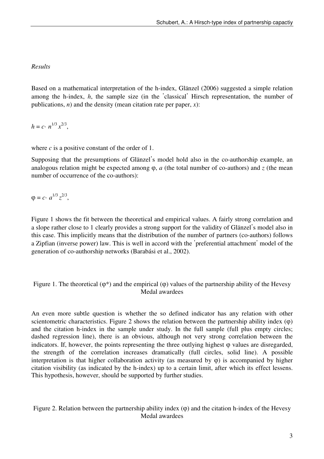# *Results*

Based on a mathematical interpretation of the h-index, Glänzel (2006) suggested a simple relation among the h-index, *h*, the sample size (in the 'classical' Hirsch representation, the number of publications, *n*) and the density (mean citation rate per paper, *x*):

 $h = c \cdot n^{1/3} x^{2/3},$ 

where  $c$  is a positive constant of the order of 1.

Supposing that the presumptions of Glänzel's model hold also in the co-authorship example, an analogous relation might be expected among φ, *a* (the total number of co-authors) and *z* (the mean number of occurrence of the co-authors):

 $\varphi = c \cdot a^{1/3} z^{2/3},$ 

Figure 1 shows the fit between the theoretical and empirical values. A fairly strong correlation and a slope rather close to 1 clearly provides a strong support for the validity of Glänzel's model also in this case. This implicitly means that the distribution of the number of partners (co-authors) follows a Zipfian (inverse power) law. This is well in accord with the 'preferential attachment' model of the generation of co-authorship networks (Barabási et al., 2002).

Figure 1. The theoretical  $(\varphi^*)$  and the empirical  $(\varphi)$  values of the partnership ability of the Hevesy Medal awardees

An even more subtle question is whether the so defined indicator has any relation with other scientometric characteristics. Figure 2 shows the relation between the partnership ability index  $(\varphi)$ and the citation h-index in the sample under study. In the full sample (full plus empty circles; dashed regression line), there is an obvious, although not very strong correlation between the indicators. If, however, the points representing the three outlying highest  $\varphi$  values are disregarded, the strength of the correlation increases dramatically (full circles, solid line). A possible interpretation is that higher collaboration activity (as measured by  $\varphi$ ) is accompanied by higher citation visibility (as indicated by the h-index) up to a certain limit, after which its effect lessens. This hypothesis, however, should be supported by further studies.

Figure 2. Relation between the partnership ability index (φ) and the citation h-index of the Hevesy Medal awardees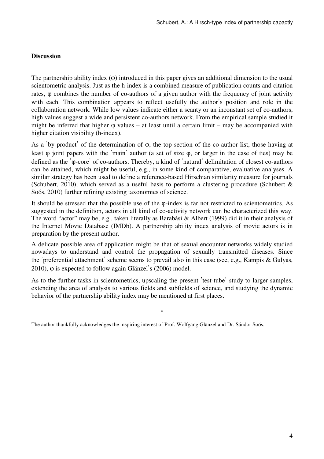### **Discussion**

The partnership ability index (φ) introduced in this paper gives an additional dimension to the usual scientometric analysis. Just as the h-index is a combined measure of publication counts and citation rates, φ combines the number of co-authors of a given author with the frequency of joint activity with each. This combination appears to reflect usefully the author's position and role in the collaboration network. While low values indicate either a scanty or an inconstant set of co-authors, high values suggest a wide and persistent co-authors network. From the empirical sample studied it might be inferred that higher  $\varphi$  values – at least until a certain limit – may be accompanied with higher citation visibility (h-index).

As a 'by-product' of the determination of φ, the top section of the co-author list, those having at least φ joint papers with the 'main' author (a set of size φ, or larger in the case of ties) may be defined as the 'φ-core' of co-authors. Thereby, a kind of 'natural' delimitation of closest co-authors can be attained, which might be useful, e.g., in some kind of comparative, evaluative analyses. A similar strategy has been used to define a reference-based Hirschian similarity measure for journals (Schubert, 2010), which served as a useful basis to perform a clustering procedure (Schubert  $\&$ Soós, 2010) further refining existing taxonomies of science.

It should be stressed that the possible use of the φ-index is far not restricted to scientometrics. As suggested in the definition, actors in all kind of co-activity network can be characterized this way. The word "actor" may be, e.g., taken literally as Barabási & Albert (1999) did it in their analysis of the Internet Movie Database (IMDb). A partnership ability index analysis of movie actors is in preparation by the present author.

A delicate possible area of application might be that of sexual encounter networks widely studied nowadays to understand and control the propagation of sexually transmitted diseases. Since the 'preferential attachment' scheme seems to prevail also in this case (see, e.g., Kampis & Gulyás, 2010), φ is expected to follow again Glänzel's (2006) model.

As to the further tasks in scientometrics, upscaling the present 'test-tube' study to larger samples, extending the area of analysis to various fields and subfields of science, and studying the dynamic behavior of the partnership ability index may be mentioned at first places.

\*

The author thankfully acknowledges the inspiring interest of Prof. Wolfgang Glänzel and Dr. Sándor Soós.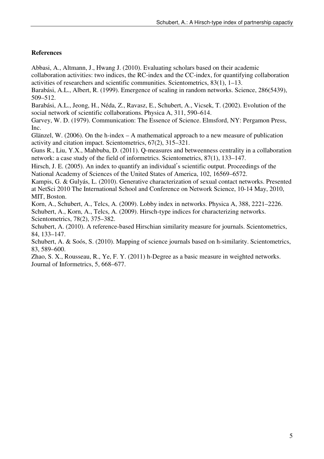# **References**

Abbasi, A., Altmann, J., Hwang J. (2010). Evaluating scholars based on their academic collaboration activities: two indices, the RC-index and the CC-index, for quantifying collaboration activities of researchers and scientific communities. Scientometrics, 83(1), 1–13.

Barabási, A.L., Albert, R. (1999). Emergence of scaling in random networks. Science, 286(5439), 509–512.

Barabási, A.L., Jeong, H., Néda, Z., Ravasz, E., Schubert, A., Vicsek, T. (2002). Evolution of the social network of scientific collaborations. Physica A, 311, 590–614.

Garvey, W. D. (1979). Communication: The Essence of Science. Elmsford, NY: Pergamon Press, Inc.

Glänzel, W. (2006). On the h-index  $- A$  mathematical approach to a new measure of publication activity and citation impact. Scientometrics, 67(2), 315–321.

Guns R., Liu, Y.X., Mahbuba, D. (2011). Q-measures and betweenness centrality in a collaboration network: a case study of the field of informetrics. Scientometrics, 87(1), 133–147.

Hirsch, J. E. (2005). An index to quantify an individual's scientific output. Proceedings of the National Academy of Sciences of the United States of America, 102, 16569–6572.

Kampis, G. & Gulyás, L. (2010). Generative characterization of sexual contact networks. Presented at NetSci 2010 The International School and Conference on Network Science, 10-14 May, 2010, MIT, Boston.

Korn, A., Schubert, A., Telcs, A. (2009). Lobby index in networks. Physica A, 388, 2221–2226. Schubert, A., Korn, A., Telcs, A. (2009). Hirsch-type indices for characterizing networks. Scientometrics, 78(2), 375–382.

Schubert, A. (2010). A reference-based Hirschian similarity measure for journals. Scientometrics, 84, 133–147.

Schubert, A. & Soós, S. (2010). Mapping of science journals based on h-similarity. Scientometrics, 83, 589–600.

Zhao, S. X., Rousseau, R., Ye, F. Y. (2011) h-Degree as a basic measure in weighted networks. Journal of Informetrics, 5, 668–677.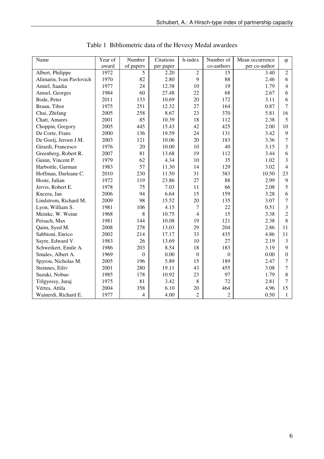| Name                     | Year of | Number           | Citations | h-index        | Number of        | Mean occurrence | $\varphi$        |
|--------------------------|---------|------------------|-----------|----------------|------------------|-----------------|------------------|
|                          | award   | of papers        | per paper |                | co-authors       | per co-author   |                  |
| Albert, Philippe         | 1972    | 5                | 2.20      | $\overline{2}$ | 15               | 3.40            | $\overline{2}$   |
| Alimarin, Ivan Pavlovich | 1970    | 82               | 2.80      | 9              | 88               | 2.46            | 6                |
| Amiel, Saadia            | 1977    | 24               | 12.38     | 10             | 19               | 1.79            | $\overline{4}$   |
| Amsel, Georges           | 1984    | 60               | 27.48     | 22             | 68               | 2.67            | 6                |
| Bode, Peter              | 2011    | 133              | 10.69     | 20             | 172              | 3.11            | 6                |
| Braun, Tibor             | 1975    | 251              | 12.32     | 27             | 164              | 0.87            | 7                |
| Chai, Zhifang            | 2005    | 258              | 8.67      | 23             | 370              | 5.81            | 16               |
| Chatt, Amares            | 2001    | 85               | 10.39     | 18             | 112              | 2.38            | 5                |
| Choppin, Gregory         | 2005    | 445              | 15.43     | 42             | 425              | 2.00            | 10               |
| De Corte, Frans          | 2000    | 136              | 19.59     | 24             | 131              | 3.42            | $\overline{9}$   |
| De Goeij, Jeroen J.M.    | 2003    | 121              | 10.06     | 20             | 183              | 3.36            | $\overline{7}$   |
| Girardi, Francesco       | 1976    | 20               | 10.00     | 10             | 40               | 3.15            | 3                |
| Greenberg, Robert R.     | 2007    | 81               | 13.68     | 19             | 112              | 3.44            | 6                |
| Guinn, Vincent P.        | 1979    | 62               | 4.34      | 10             | 35               | 1.02            | 3                |
| Harbottle, Garman        | 1983    | 57               | 11.30     | 14             | 129              | 3.02            | $\overline{4}$   |
| Hoffman, Darleane C.     | 2010    | 230              | 11.50     | 31             | 383              | 10.50           | 23               |
| Hoste, Julian            | 1972    | 119              | 23.86     | 27             | 88               | 2.99            | $\boldsymbol{9}$ |
| Jervis, Robert E.        | 1978    | 75               | 7.03      | 11             | 66               | 2.08            | 5                |
| Kucera, Jan              | 2006    | 94               | 6.64      | 15             | 159              | 3.28            | 6                |
| Lindstrom, Richard M.    | 2009    | 98               | 15.52     | 20             | 135              | 3.07            | $\overline{7}$   |
| Lyon, William S.         | 1981    | 106              | 4.15      | $\overline{7}$ | 22               | 0.51            | 3                |
| Meinke, W. Weine         | 1968    | 8                | 10.75     | $\overline{4}$ | 15               | 3.38            | $\overline{c}$   |
| Peisach, Max             | 1981    | 144              | 10.08     | 19             | 121              | 2.38            | 8                |
| Qaim, Syed M.            | 2008    | 278              | 13.03     | 29             | 204              | 2.86            | 11               |
| Sabbioni, Enrico         | 2002    | 214              | 17.17     | 33             | 435              | 4.86            | 11               |
| Sayre, Edward V.         | 1983    | 26               | 13.69     | 10             | 27               | 2.19            | 3                |
| Schweikert, Emile A.     | 1986    | 203              | 8.54      | 18             | 183              | 3.19            | 9                |
| Smales, Albert A.        | 1969    | $\boldsymbol{0}$ | 0.00      | $\mathbf{0}$   | $\boldsymbol{0}$ | 0.00            | $\boldsymbol{0}$ |
| Spyrou, Nicholas M.      | 2005    | 196              | 5.89      | 15             | 189              | 2.47            | $\tau$           |
| Steinnes, Eiliv          | 2001    | 280              | 19.11     | 43             | 455              | 3.08            | 7                |
| Suzuki, Nobuo            | 1985    | 178              | 10.92     | 23             | 97               | 1.79            | 8                |
| Tölgyessy, Juraj         | 1975    | 81               | 3.42      | 8              | 72               | 2.81            | $\overline{7}$   |
| Vértes, Attila           | 2004    | 358              | 6.10      | 20             | 464              | 4.96            | 15               |
| Wainerdi, Richard E.     | 1977    | $\overline{4}$   | 4.00      | $\overline{2}$ | $\overline{c}$   | 0.50            | $\mathbf{1}$     |

Table 1 Bibliometric data of the Hevesy Medal awardees